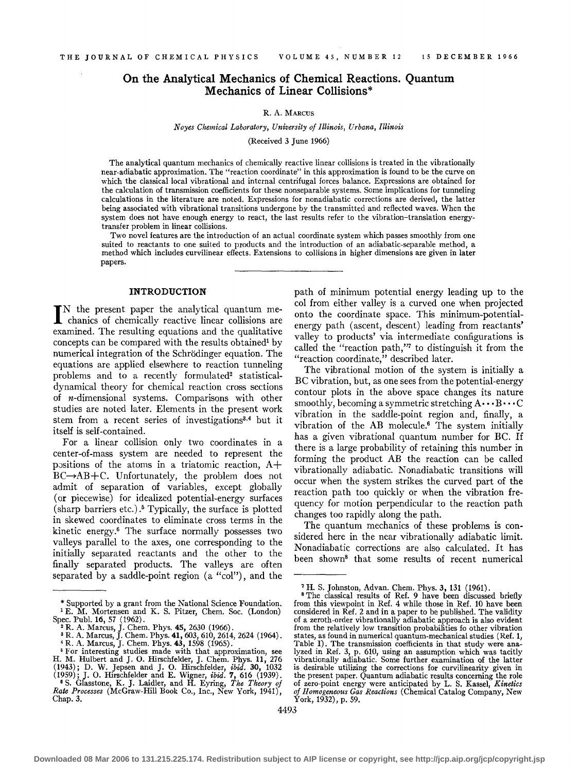# **On the Analytical Mechanics of Chemical Reactions. Quantum Mechanics of Linear Collisions\***

#### R. A. MARCUS

#### *Noyes Chemical Laboratory, University of Illinois, Urbana, Illinois*

(Received 3 June 1966)

The analytical quantum mechanics of chemically reactive linear collisions is treated in the vibrationally near-adiabatic approximation. The "reaction coordinate" in this approximation is found to be the curve on which the classical local vibrational and internal centrifugal forces balance. Expressions are obtained for the calculation of transmission coefficients for these nonseparable systems. Some implications for tunneling calculations in the literature are noted. Expressions for nonadiabatic corrections are derived, the latter being associated with vibrational transitions undergone by the transmitted and reflected waves. When the system does not have enough energy to react, the last results refer to the vibration-translation energytransfer problem in linear collisions.

Two novel features are the introduction of an actual coordinate system which passes smoothly from one suited to reactants to one suited to products and the introduction of an adiabatic-separable method, a method which includes curvilinear effects. Extensions to collisions in higher dimensions are given in later papers.

# **INTRODUCTION**

IN the present paper the analytical quantum mechanics of chemically reactive linear collisions are N the present paper the analytical quantum meexamined. The resulting equations and the qualitative concepts can be compared with the results obtained<sup>1</sup> by numerical integration of the Schrodinger equation. The equations are applied elsewhere to reaction tunneling problems and to a recently formulated<sup>2</sup> statisticaldynamical theory for chemical reaction cross sections of n-dimensional systems. Comparisons with other studies are noted later. Elements in the present work stem from a recent series of investigations<sup>3,4</sup> but it itself is self-contained.

For a linear collision only two coordinates in a center-of-mass system are needed to represent the positions of the atoms in a triatomic reaction,  $A+$  $BC \rightarrow AB + C$ . Unfortunately, the problem does not admit of separation of variables, except globally (or piecewise) for idealized potential-energy surfaces (sharp barriers etc.) . 5 Typically, the surface is plotted in skewed coordinates to eliminate cross terms in the kinetic energy.6 The surface normally possesses two valleys parallel to the axes, one corresponding to the initially separated reactants and the other to the finally separated products. The valleys are often separated by a saddle-point region (a "col"), and the

path of minimum potential energy leading up to the col from either valley is a curved one when projected onto the coordinate space. This minimum-potentialenergy path (ascent, descent) leading from reactants' valley to products' via intermediate configurations is called the "reaction path,"7 to distinguish it from the "reaction coordinate," described later.

The vibrational motion of the system is initially a BC vibration, but, as one sees from the potential-energy contour plots in the above space changes its nature smoothly, becoming a symmetric stretching  $A \cdots B \cdots C$ vibration in the saddle-point region and, finally, a vibration of the AB molecule.6 The system initially has a given vibrational quantum number for BC. If there is a large probability of retaining this number in forming the product AB the reaction can be called vibrationally adiabatic. Nonadiabatic transitions will occur when the system strikes the curved part of the reaction path too quickly or when the vibration frequency for motion perpendicular to the reaction path changes too rapidly along the path.

The quantum mechanics of these problems is considered here in the near vibrationally adiabatic limit. Nonadiabatic corrections are also calculated. It has been shown8 that some results of recent numerical

<sup>\*</sup>Supported by a grant from the National Science Foundation. 1 E. M. Mortensen and K. S. Pitzer, Chern. Soc. (London)

Spec. Publ. 16, 57 (1962).<br>
<sup>2</sup> R. A. Marcus, J. Chem. Phys. 45, 2630 (1966).<br>
<sup>3</sup> R. A. Marcus, J. Chem. Phys. 41, 603, 610, 2614, 2624 (1964).<br>
<sup>3</sup> R. A. Marcus, J. Chem. Phys. 43, 1598 (1965).<br>
<sup>4</sup> R. A. Marcus, J. Che

<sup>(1943);</sup> D. W. Jepsen and J. O. Hirschfelder,  $ibid$ . 30, 1032 (1959); J. O. Hirschfelder and E. Wigner,  $ibid$ . 7, 616 (1939).  $\bullet$  S. Glasstone, K. J. Laidler, and H. Eyring, *The Theory of Rate Processes* (McGraw-Hill Book Chap. 3.

<sup>&</sup>lt;sup>7</sup> H. S. Johnston, Advan. Chem. Phys. 3, 131 (1961). <sup>8</sup> The classical results of Ref. 9 have been discussed briefly from this viewpoint in Ref. 4 while those in Ref. 10 have been considered in Ref. 2 and in a paper to be published. The validity of a zeroth-order vibrationally adiabatic approach is also evident from the relatively low transition probabilities fo other vibration states, as found in numerical quantum-mechanical studies (Ref. 1, Table I). The transmission coefficients in that study were ana- lyzed in Ref. 3, p. 610, using an assumption which was tacitly vibrationally adiabatic. Some further examination of the latter is desirable utilizing the corrections for curvilinearity given in the present paper. Quantum adiabatic results concerning the role of zero-point energy were anticipated by L. S. Kassel, *Kinetics of Homogeneous Gas Reactions* (Chemical Catalog Company, New York, 1932), p. 59.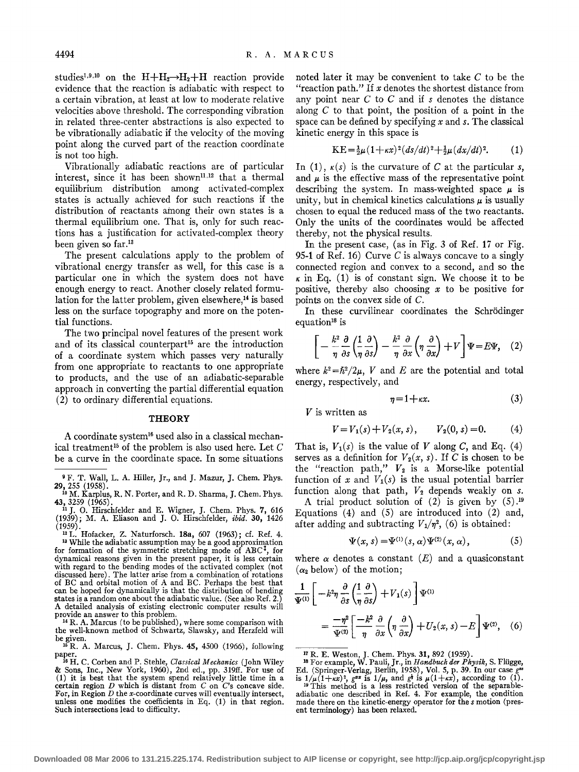studies<sup>1,9,10</sup> on the  $H + H_2 \rightarrow H_2 + H$  reaction provide evidence that the reaction is adiabatic with respect to a certain vibration, at least at low to moderate relative velocities above threshold. The corresponding vibration in related three-center abstractions is also expected to be vibrationally adiabatic if the velocity of the moving point along the curved part of the reaction coordinate is not too high.

Vibrationally adiabatic reactions are of particular interest, since it has been shown<sup>11,12</sup> that a thermal equilibrium distribution among activated-complex states is actually achieved for such reactions if the distribution of reactants ainong their own states is a thermal equilibrium one. That is, only for such reactions has a justification for activated-complex theory been given so far. <sup>13</sup>

The present calculations apply to the problem of vibrational energy transfer as well, for this case is a particular one in which the system does not have enough energy to react. Another closely related formulation for the latter problem, given elsewhere,<sup>14</sup> is based less on the surface topography and more on the potential functions.

The two principal novel features of the present work and of its classical counterpart<sup>15</sup> are the introduction of a coordinate system which passes very naturally from one appropriate to reactants to one appropriate to products, and the use of an adiabatic-separable approach in converting the partial differential equation (2) to ordinary differential equations.

### **THEORY**

A coordinate system<sup>16</sup> used also in a classical mechanical treatment<sup>15</sup> of the problem is also used here. Let  $C$ be a curve in the coordinate space. In some situations

<sup>9</sup> F. T. Wall, L. A. Hiller, Jr., and J. Mazur, J. Chem. Phys. 29,  $255$  (1958). 10M. Karplus, R.N. Porter, and R.D. Sharma, J. Chem. Phys.

43, 3259 (1965).<br><sup>11</sup> J. O. Hirschfelder and E. Wigner, J. Chem. Phys. **7,** 616<br>(1939); M. A. Eliason and J. O. Hirschfelder, *ibid.* 30, 1426

<sup>14</sup> R. A. Marcus (to be published), where some comparison with the well-known method of Schwartz, Slawsky, and Herzfeld will be given. 16 R. A. Marcus, J. Chern. Phys. 45, 4500 (1966), following

paper. 16 H. C. Corben and P. Stehle, *Classical Mechanics* (John Wiley

& Sons, Inc., New York, 1960), 2nd ed., pp. 319ff. For use of (1) it is best that the system spend relatively little time in a certain region  $D$  which is distant from  $C$  on  $C$ 's concave side. certain region  $D$  which is distant from  $C$  on  $C$ 's concave side.<br>For, in Region  $D$  the x-coordinate curves will eventually intersect, unless one modifies the coefficients in Eq. (1) in that region. Such intersections lead to difficulty.

noted later it may be convenient to take C to be the "reaction path." If *x* denotes the shortest distance from any point near C to C and if *s* denotes the distance along  $C$  to that point, the position of a point in the space can be defined by specifying *x* and *s.* The classical kinetic energy in this space is

$$
KE = \frac{1}{2}\mu (1 + \kappa x)^2 (ds/dt)^2 + \frac{1}{2}\mu (dx/dt)^2.
$$
 (1)

In (1),  $\kappa(s)$  is the curvature of C at the particular *s*, and  $\mu$  is the effective mass of the representative point describing the system. In mass-weighted space  $\mu$  is unity, but in chemical kinetics calculations  $\mu$  is usually chosen to equal the reduced mass of the two reactants. Only the units of the coordinates would be affected thereby, not the physical results.

In the present case, (as in Fig. 3 of Ref. 17 or Fig. 95-1 of Ref. 16) Curve  $C$  is always concave to a singly connected region and convex to a second, and so the  $\kappa$  in Eq. (1) is of constant sign. We choose it to be positive, thereby also choosing *x* to be positive for points on the convex side of C.

In these curvilinear coordinates the Schrodinger equation<sup>18</sup> is

$$
\left[ -\frac{k^2}{\eta} \frac{\partial}{\partial s} \left( \frac{1}{\eta} \frac{\partial}{\partial s} \right) - \frac{k^2}{\eta} \frac{\partial}{\partial x} \left( \eta \frac{\partial}{\partial x} \right) + V \right] \Psi = E \Psi, \quad (2)
$$

where  $k^2 = \hbar^2/2\mu$ , V and E are the potential and total energy, respectively, and

$$
\eta = 1 + \kappa x. \tag{3}
$$

 $V$  is written as

$$
V = V_1(s) + V_2(x, s), \qquad V_2(0, s) = 0. \tag{4}
$$

That is,  $V_1(s)$  is the value of *V* along *C*, and Eq. (4) serves as a definition for  $V_2(x, s)$ . If C is chosen to be the "reaction path,"  $V_2$  is a Morse-like potential function of *x* and  $V_1(s)$  is the usual potential barrier function along that path,  $V_2$  depends weakly on  $s$ .

A trial product solution of  $(2)$  is given by  $(5)$ .<sup>19</sup> Equations  $(4)$  and  $(5)$  are introduced into  $(2)$  and, after adding and subtracting  $V_1/\eta^2$ , (6) is obtained:

$$
\Psi(x, s) = \Psi^{(1)}(s, \alpha) \Psi^{(2)}(x, \alpha), \tag{5}
$$

where  $\alpha$  denotes a constant  $(E)$  and a quasiconstant  $(\alpha_2$  below) of the motion;

$$
\frac{1}{\Psi^{(1)}} \left[ -k^2 \eta \frac{\partial}{\partial s} \left( \frac{1}{\eta} \frac{\partial}{\partial s} \right) + V_1(s) \right] \Psi^{(1)} \n= \frac{-\eta^2}{\Psi^{(2)}} \left[ \frac{-k^2}{\eta} \frac{\partial}{\partial x} \left( \eta \frac{\partial}{\partial x} \right) + U_2(x, s) - E \right] \Psi^{(2)}, \quad (6)
$$

17 R. E. Weston, J. Chern. Phys. 31, 892 (1959). 18 For example, W. Pauli, Jr., in *H andbuch der Physik,* S. Fliigge, Ed. (Springer-Verlag, Berlin, 1958), Vol. 5, p. 39. In our case *g"* 

<sup>(1959). &</sup>lt;sup>12</sup> L. Hofacker, Z. Naturforsch. **18a**, 607 (1963); cf. Ref. 4. <sup>13</sup> While the adiabatic assumption may be a good approximation for formation of the symmetric stretching mode of  $ABC^{\ddagger}$ , for dynamical reasons given in the present paper, it is less certain with regard to the bending modes of the activated complex (not discussed here). The latter arise from a combination of rotations of BC and orbital motion of A and BC. Perhaps the best that can be hoped for dynamically is that the distribution of bending states is a random one about the adiabatic value. (See also Ref. 2.) A detailed analysis of existing electronic computer results will

is  $1/\mu(1+x^2)$ ,  $g^{xx}$  is  $1/\mu$ , and  $g^{\frac{1}{2}}$  is  $\mu(1+x^2)$ , according to (1). <sup>19</sup> This method is a less restricted version of the separableadiabatic one described in Ref. 4. For example, the condition made there on the kinetic-energy operator for the *s* motion (present terminology) has been relaxed.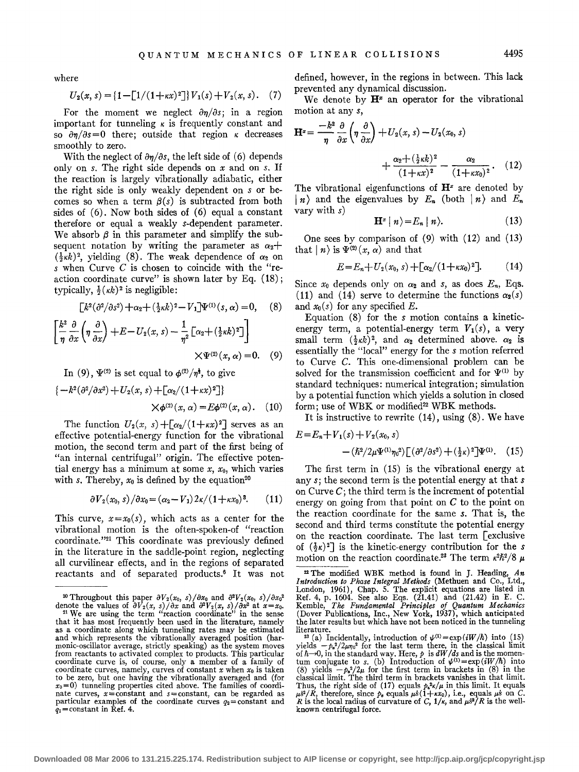where

$$
U_2(x, s) = \{1 - \left[1/(1 + \kappa x)^2\right]\} V_1(s) + V_2(x, s). \quad (7)
$$

For the moment we neglect  $\partial \eta/\partial s$ ; in a region important for tunneling  $\kappa$  is frequently constant and so  $\partial \eta/\partial s=0$  there; outside that region *k* decreases smoothly to zero.

With the neglect of  $\partial \eta/\partial s$ , the left side of (6) depends only on *s.* The right side depends on *x* and on *s.* If the reaction is largely vibrationally adiabatic, either the right side is only weakly dependent on *s* or becomes so when a term  $\beta(s)$  is subtracted from both sides of (6). Now both sides of (6) equal a constant therefore or equal a weakly s-dependent parameter. We absorb  $\beta$  in this parameter and simplify the subsequent notation by writing the parameter as  $\alpha_2$ +  $(\frac{1}{2}k)^2$ , yielding (8). The weak dependence of  $\alpha_2$  on *s* when Curve C is chosen to coincide with the "reaction coordinate curve" is shown later by Eq. (18); typically,  $\frac{1}{2}$ ( $\kappa k$ )<sup>2</sup> is negligible:

$$
[k^2(\partial^2/\partial s^2) + \alpha_2 + (\frac{1}{2}\kappa k)^2 - V_1]\Psi^{(1)}(s,\alpha) = 0, \quad (8)
$$

$$
\left[\frac{k^2}{\eta}\frac{\partial}{\partial x}\left(\eta\frac{\partial}{\partial x}\right) + E - U_2(x,s) - \frac{1}{\eta^2}\left[\alpha_2 + \left(\frac{1}{2}\kappa k\right)^2\right]\right] \times \Psi^{(2)}(x,\alpha) = 0. \quad (9)
$$

In (9),  $\Psi^{(2)}$  is set equal to  $\phi^{(2)}/\eta^{\frac{1}{2}}$ , to give

$$
\{-k^{2}(\partial^{2}/\partial x^{2})+U_{2}(x, s)+[\alpha_{2}/(1+\kappa x)^{2}]\}\times \phi^{(2)}(x, \alpha)=E\phi^{(2)}(x, \alpha). \quad (10)
$$

The function  $U_2(x, s) + \lceil \alpha_2/(1 + \kappa x)^2 \rceil$  serves as an effective potential-energy function for the vibrational motion, the second term and part of the first being of "an internal centrifugal" origin. The effective potential energy has a minimum at some *x, xo,* which varies with *s*. Thereby,  $x_0$  is defined by the equation<sup>20</sup>

$$
\partial V_2(x_0, s) / \partial x_0 = (\alpha_2 - V_1) 2\kappa / (1 + \kappa x_0)^3. \tag{11}
$$

This curve,  $x=x_0(s)$ , which acts as a center for the vibrational motion is the often-spoken-of "reaction coordinate."21 This coordinate was previously defined in the literature in the saddle-point region, neglecting all curvilinear effects, and in the regions of separated reactants and of separated products.6 It was not defined, however, in the regions in between. This lack prevented any dynamical discussion.

We denote by  $H^2$  an operator for the vibrational motion at any *s,* 

$$
\mathbf{H}^x = \frac{-k^2}{\eta} \frac{\partial}{\partial x} \left( \eta \frac{\partial}{\partial x} \right) + U_2(x, s) - U_2(x_0, s)
$$

$$
+ \frac{\alpha_2 + (\frac{1}{2} \kappa k)^2}{(1 + \kappa x)^2} - \frac{\alpha_2}{(1 + \kappa x_0)^2}.
$$
 (12)

The vibrational eigenfunctions of  $\mathbf{H}^x$  are denoted by  $\mid n \rangle$  and the eigenvalues by  $E_n$  (both  $\mid n \rangle$  and  $E_n$ vary with s)

$$
\mathbf{H}^x \mid n \rangle = E_n \mid n \rangle. \tag{13}
$$

One sees by comparison of (9) with (12) and (13) that  $|n\rangle$  is  $\Psi^{(2)}(x, \alpha)$  and that

$$
E = E_n + U_2(x_0, s) + [\alpha_2/(1 + \kappa x_0)^2]. \tag{14}
$$

Since  $x_0$  depends only on  $\alpha_2$  and *s*, as does  $E_n$ , Eqs. (11) and (14) serve to determine the functions  $\alpha_2(s)$ and  $x_0(s)$  for any specified E.

Equation (8) for the *s* motion contains a kineticenergy term, a potential-energy term  $V_1(s)$ , a very small term  $(\frac{1}{2}\kappa k)^2$ , and  $\alpha_2$  determined above.  $\alpha_2$  is essentially the "local" energy for the *s* motion referred to Curve C. This one-dimensional problem can be solved for the transmission coefficient and for  $\Psi^{(1)}$  by standard techniques: numerical integration; simulation by a potential function which yields a solution in closed form; use of WBK or modified<sup>22</sup> WBK methods.

It is instructive to rewrite (14), using (8). We have

$$
E = E_n + V_1(s) + V_2(x_0, s)
$$
  
 
$$
- (\hbar^2/2\mu \Psi^{(1)}\eta_0^2) [(\partial^2/\partial s^2) + (\frac{1}{2}\kappa)^2] \Psi^{(1)}.
$$
 (15)

The first term in (15) is the vibrational energy at any s; the second term is the potential energy at that s on Curve  $C$ ; the third term is the increment of potential energy on going from that point on  $C$  to the point on the reaction coordinate for the same *s.* That is, the second and third terms constitute the potential energy on the reaction coordinate. The last term [exclusive of  $(\frac{1}{2}\kappa)^2$  is the kinetic-energy contribution for the *s* motion on the reaction coordinate.<sup>23</sup> The term  $\kappa^2 \hbar^2/8$   $\mu$ 

<sup>&</sup>lt;sup>20</sup> Throughout this paper  $\frac{\partial V_2(x_0, s)}{\partial x_0}$  and  $\frac{\partial^2 V_2(x_0, s)}{\partial x^2}$  at  $x=x_0$ *i* denote the values of  $\frac{\partial V_2(x_0, s)}{\partial x}$  and  $\frac{\partial^2 V_2(x_0, s)}{\partial x^2}$  at  $x=x_0$ *i*.

<sup>&</sup>lt;sup>21</sup> We are using the term "reaction coordinate" in the sense that it has most frequently been used in the literature, namely as a coordinate along which tunneling rates may be estimated as a coordinate along which tunneling rates may be estimated and which represents the vibrationally averaged position (harmonic-oscillator average, strictly speaking) as the system moves from reactants to activated complex to products. This particular coordinate curve is, of course, only a member of a family of coordinate curves, namely, curves of constant x when  $x_0$  is taken<br>to be zero, but one having the vibrationally averaged and (for<br> $x_0=0$ ) tunneling properties cited above. The families of coordi $x_0=0$ ) tunneling properties cited above. The families of coordinate curves,  $x=$  constant and  $s=$ constant, can be regarded as particular examples of the coordinate curves  $q_2=$  constant and  $q_1$ =constant in Ref. 4.

<sup>22</sup> The modified WBK method is found in J. Heading, *An Introduction to Phase Integral Methods* (Methuen and Co., Ltd., London, 1961), Chap. 5. The explicit equations are listed in Ref. 4, p. 1604. See also Eqs. (21.41) and (21.42) in E. C. Kemble, *The Fundamental Principles of Quantum Mechanics*  (Dover Publications, Inc., New York, 1937), which anticipated the later results but which have not been noticed in the tunneling

<sup>&</sup>lt;sup>23</sup> (a) Incidentally, introduction of  $\psi^{(1)} = \exp(iW/\hbar)$  into (15) yields  $-p_s^2/2\mu\eta_0^2$  for the last term there, in the classical limit of  $\hbar \rightarrow 0$ , in the standard way. Here, *p* is  $d\hat{W}/ds$  and is the momentum conjugate to *s*. (b) Introduction of  $\psi^{(1)} = \exp(iW/\hbar)$  into (8) yields  $-\rho_s^2/2\mu$  for the first term in brackets in (8) in the classical limit. The third term in brackets vanishes in that limit. Chassical minit. It equals the right side of (17) equals  $h^2 \kappa / \mu$  in this limit. It equals  $\mu s^2/R$ , therefore, since  $h_s$  equals  $\mu s^2/(1 + \kappa x_0)$ , i.e., equals  $\mu s$  on C.<br>R is the local radius of curvature of C,  $1/\$ known centrifugal force.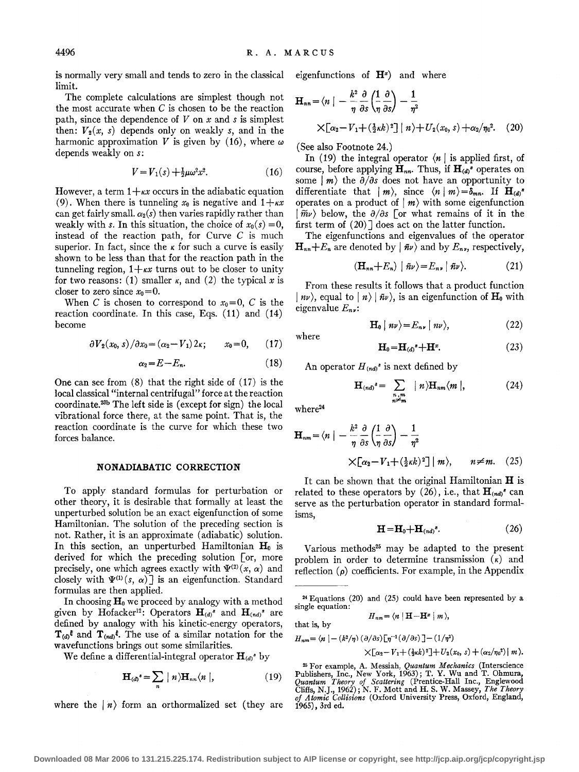is normally very small and tends to zero in the classical limit.

The complete calculations are simplest though not the most accurate when  $C$  is chosen to be the reaction path, since the dependence of  $V$  on  $x$  and  $s$  is simplest then:  $V_2(x, s)$  depends only on weakly *s*, and in the harmonic approximation *V* is given by (16), where  $\omega$ depends weakly on s:

$$
V = V_1(s) + \frac{1}{2}\mu\omega^2 x^2.
$$
 (16)

However, a term  $1 + kx$  occurs in the adiabatic equation (9). When there is tunneling  $x_0$  is negative and  $1 + \kappa x$ can get fairly small.  $\alpha_2(s)$  then varies rapidly rather than weakly with *s*. In this situation, the choice of  $x_0(s) = 0$ , instead of the reaction path, for Curve  $C$  is much superior. In fact, since the  $\kappa$  for such a curve is easily shown to be less than that for the reaction path in the tunneling region,  $1 + kx$  turns out to be closer to unity for two reasons: (1) smaller  $\kappa$ , and (2) the typical x is closer to zero since  $x_0 = 0$ .

When C is chosen to correspond to  $x_0=0$ , C is the reaction coordinate. In this case, Eqs. (11) and (14) become

$$
\frac{\partial V_2(x_0, s)}{\partial x_0} = (\alpha_2 - V_1) 2\kappa; \qquad x_0 = 0, \qquad (17)
$$

$$
\alpha_2 = E - E_n. \tag{18}
$$

One can see from  $(8)$  that the right side of  $(17)$  is the local classical "internal centrifugal" force at the reaction coordinate.23h The left side is (except for sign) the local vibrational force there, at the same point. That is, the reaction coordinate is the curve for which these two forces balance.

### **NONADIABATIC CORRECTION**

To apply standard formulas for perturbation or other theory, it is desirable that formally at least the unperturbed solution be an exact eigenfunction of some Hamiltonian. The solution of the preceding section is not. Rather, it is an approximate (adiabatic) solution. In this section, an unperturbed Hamiltonian  $H_0$  is derived for which the preceding solution [or, more precisely, one which agrees exactly with  $\Psi^{(2)}(x, \alpha)$  and closely with  $\Psi^{(1)}(s, \alpha)$  is an eigenfunction. Standard formulas are then applied.

In choosing  $H_0$  we proceed by analogy with a method given by Hofacker<sup>12</sup>: Operators  $H_{(d)}^s$  and  $H_{(nd)}^s$  are defined by analogy with his kinetic-energy operators,  $T_{(d)}$ <sup> $\varepsilon$ </sup> and  $T_{(nd)}$ <sup> $\varepsilon$ </sup>. The use of a similar notation for the wavefunctions brings out some similarities.

We define a differential-integral operator  $\mathbf{H}_{(d)}$ <sup>\*</sup> by

$$
\mathbf{H}_{(d)}^s = \sum_n |n\rangle \mathbf{H}_{nn} \langle n|, \qquad (19)
$$

where the  $\vert n \rangle$  form an orthormalized set (they are

eigenfunctions of **H")** and where

$$
\mathbf{H}_{nn} = \langle n \mid -\frac{k^2}{\eta} \frac{\partial}{\partial s} \left( \frac{1}{\eta} \frac{\partial}{\partial s} \right) - \frac{1}{\eta^2}
$$
\n
$$
\times \left[ \alpha_2 - V_1 + \left( \frac{1}{2} \kappa k \right)^2 \right] \mid n \rangle + U_2(x_0, s) + \alpha_2 / \eta_0^2. \tag{20}
$$

(See also Footnote 24.)

In (19) the integral operator  $\langle n |$  is applied first, of course, before applying  $H_{nn}$ . Thus, if  $H_{(d)}$ <sup>s</sup> operates on some  $|m\rangle$  the  $\partial/\partial s$  does not have an opportunity to differentiate that  $|m\rangle$ , since  $\langle n | m \rangle = \delta_{mn}$ . If  $\mathbf{H}_{(d)}^*$ operates on a product of  $|m\rangle$  with some eigenfunction  $\langle \widetilde{m}\nu \rangle$  below, the  $\partial/\partial s$  or what remains of it in the first term of  $(20)$ ] does act on the latter function.

The eigenfunctions and eigenvalues of the operator  $H_{nn} + E_n$  are denoted by  $|\tilde{n}\nu\rangle$  and by  $E_{nn}$ , respectively,

$$
(\mathbf{H}_{nn} + E_n) | \tilde{n}\nu \rangle = E_{n\nu} | \tilde{n}\nu \rangle. \tag{21}
$$

From these results it follows that a product function  $\vert n\nu\rangle$ , equal to  $\vert n\rangle \vert \tilde{n}\nu\rangle$ , is an eigenfunction of  $H_0$  with eigenvalue *En.:* 

$$
\mathbf{H}_0 \mid n\nu \rangle = E_{n\nu} \mid n\nu \rangle, \tag{22}
$$

$$
\mathbf{H}_0 = \mathbf{H}_{(d)}^s + \mathbf{H}^s. \tag{23}
$$

An operator  $H_{(nd)}^s$  is next defined by

$$
\mathbf{H}_{(nd)}^{s} = \sum_{\substack{n,m\\n \neq m}} |n\rangle \mathbf{H}_{nm} \langle m |,
$$
 (24)

where<sup>24</sup>

where

$$
\mathbf{H}_{nm} = \langle n \mid -\frac{k^2}{\eta} \frac{\partial}{\partial s} \left( \frac{1}{\eta} \frac{\partial}{\partial s} \right) - \frac{1}{\eta^2}
$$
\n
$$
\times \left[ \alpha_2 - V_1 + \left( \frac{1}{2} \kappa k \right)^2 \right] \mid m \rangle, \qquad n \neq m. \quad (25)
$$

It can be shown that the original Hamiltonian **H** is related to these operators by  $(26)$ , i.e., that  $\mathbf{H}_{(nd)}^*$  can serve as the perturbation operator in standard formalisms,

$$
\mathbf{H} = \mathbf{H}_0 + \mathbf{H}_{(nd)}^s. \tag{26}
$$

Various methods<sup>25</sup> may be adapted to the present problem in order to determine transmission  $(\kappa)$  and reflection  $(\rho)$  coefficients. For example, in the Appendix

$$
H_{nm} = \langle n | \mathbf{H} - \mathbf{H}^x | m \rangle,
$$
 that is, by

 $H_{nm} = \langle n \mid - (k^2/\eta) \left(\frac{\partial}{\partial s}\right) \left[ \eta^{-1} \left(\frac{\partial}{\partial s}\right) \right] - (1/\eta^2)$ 

 $\times [\alpha_2 - V_1 + (\frac{1}{2}\kappa k)^2] + U_2(x_0, s) + (\alpha_2/\eta_0^2) |m\rangle.$ 

<sup>25</sup> For example, A. Messiah, *Quantum Mechanics* (Interscience Publishers, Inc., New York, 1963); T. Y. Wu and T. Ohmura, *Quantum Theory of Scattering* (Prentice-Hall Inc., Englewood Cliffs, N.J., 1962); N. F. Mott and H *of Atomic Collisions* (Oxford University Press, Oxford, England, 1965), 3rd ed.

<sup>24</sup> Equations (20) and (25) could have been represented by a single equation: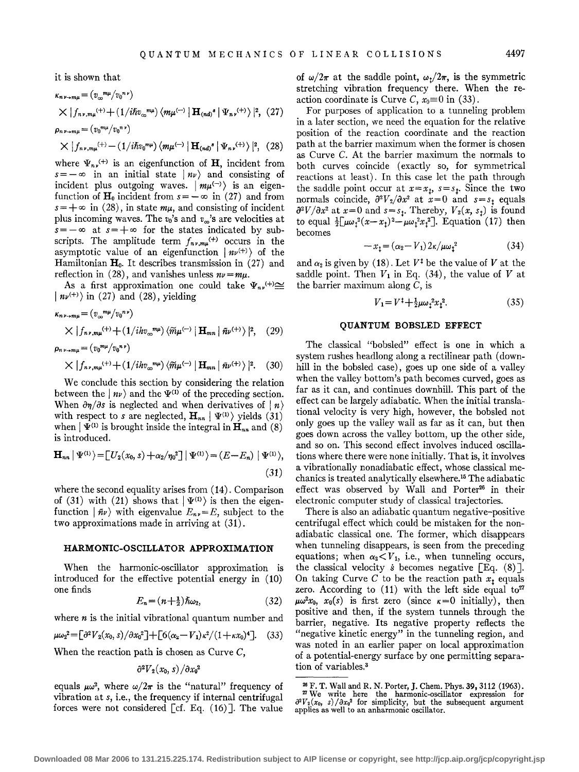it is shown that

$$
\kappa_{n\nu+m\mu} = (v_{\infty}^{m\mu}/v_0^{n\nu})
$$
  
\n
$$
\times |f_{n\nu,m\mu}^{+}(1/i\hbar v_{\infty}^{m\mu}) \langle m\mu^{(-)} | \mathbf{H}_{(nd)}^{\bullet} | \Psi_{n\nu}^{(+)} \rangle |^{2}, (27)
$$
  
\n
$$
\rho_{n\nu+m\mu} = (v_0^{m\mu}/v_0^{n\nu})
$$
  
\n
$$
\times |f_{n\nu,m\mu}^{(+)} - (1/i\hbar v_0^{m\mu}) \langle m\mu^{(-)} | \mathbf{H}_{(nd)}^{\bullet} | \Psi_{n\nu}^{(+)} \rangle |^{2}, (28)
$$

where  $\Psi_{n\nu}^{(+)}$  is an eigenfunction of **H**, incident from  $s=-\infty$  in an initial state  $|n\nu\rangle$  and consisting of incident plus outgoing waves.  $|m\mu^{(-)}\rangle$  is an eigenfunction of  $\mathbf{H}_0$  incident from  $s = -\infty$  in (27) and from  $s = +\infty$  in (28), in state  $m\mu$ , and consisting of incident plus incoming waves. The  $v_0$ 's and  $v_\infty$ 's are velocities at  $s = -\infty$  at  $s = +\infty$  for the states indicated by subscripts. The amplitude term  $f_{n\nu,m\mu}^{(+)}$  occurs in the asymptotic value of an eigenfunction  $| n v^{(+)} \rangle$  of the Hamiltonian  $H_0$ . It describes transmission in (27) and reflection in (28), and vanishes unless  $nv = m\mu$ .

As a first approximation one could take  $\Psi_{n\nu}^{(+)} \cong$  $\mid n\nu^{(+)}\rangle$  in (27) and (28), yielding

$$
\kappa_{n\nu\rightarrow m\mu} = (v_{\infty}^{m\mu}/v_0^{n\nu})
$$
  
 
$$
\times |f_{n\nu,m\mu}^{(+) + (1/ihv_{\infty}^{m\mu})} \langle \widetilde{m}\mu^{(-)} | \mathbf{H}_{mn} | \tilde{n}\nu^{(+)} \rangle |^2, (29)
$$
  
\n
$$
\rho_{n\nu\rightarrow m\mu} = (v_0^{m\mu}/v_0^{n\nu})
$$

$$
\times |f_{n\nu,m\mu}^{(+) } + (1/ihv_{\infty}^{m\mu}) \left\langle \widetilde{m}\mu^{(-)} \left| \right. \mathbf{H}_{mn} \left| \right. \widetilde{n}\nu^{(+)} \right\rangle |^{2}. \quad (30)
$$

We conclude this section by considering the relation between the  $|n\nu\rangle$  and the  $\Psi^{(1)}$  of the preceding section. When  $\partial \eta / \partial s$  is neglected and when derivatives of  $\mid n \rangle$ with respect to *s* are neglected,  $H_{nn} | \Psi^{(1)} \rangle$  yields (31) when  $\Psi^{(1)}$  is brought inside the integral in  $\mathbf{H}_{nn}$  and (8) is introduced.

$$
\mathbf{H}_{nn} | \Psi^{(1)} \rangle = [ U_2(x_0, s) + \alpha_2/\eta_0^2 ] | \Psi^{(1)} \rangle = (E - E_n) | \Psi^{(1)} \rangle,
$$
\n(31)

where the second equality arises from (14). Comparison of (31) with (21) shows that  $|\Psi^{(1)}\rangle$  is then the eigenfunction  $|\tilde{n}\nu\rangle$  with eigenvalue  $E_{n\nu}=E$ , subject to the two approximations made in arriving at (31).

#### **HARMONIC-OSCILLATOR APPROXIMATION**

When the harmonic-oscillator approximation is introduced for the effective potential energy in (10) one finds

$$
E_n = (n + \frac{1}{2})\hbar\omega_2,\tag{32}
$$

where *n* is the initial vibrational quantum number and

$$
\mu\omega_2^2 = \left[\partial^2 V_2(x_0, s)/\partial x_0^2\right] + \left[6(\alpha_2 - V_1)\kappa^2/(1 + \kappa x_0)^4\right].
$$
 (33)

When the reaction path is chosen as Curve  $C$ ,

$$
\partial^2 V_2(x_0,s)/\partial x_0^2
$$

equals  $\mu\omega^2$ , where  $\omega/2\pi$  is the "natural" frequency of vibration at *s,* i.e., the frequency if internal centrifugal forces were not considered [cf. Eq.  $(16)$ ]. The value

of  $\omega/2\pi$  at the saddle point,  $\omega_1/2\pi$ , is the symmetric stretching vibration frequency there. When the reaction coordinate is Curve *C*,  $x_0 \equiv 0$  in (33).

For purposes of application to a tunneling problem in a later section, we need the equation for the relative position of the reaction coordinate and the reaction path at the barrier maximum when the former is chosen as Curve C. At the barrier maximum the normals to both curves coincide (exactly so, for symmetrical reactions at least). In this case let the path through the saddle point occur at  $x=x_t$ ,  $s=s_t$ . Since the two normals coincide,  $\frac{\partial^2 V_2}{\partial x^2}$  at  $x=0$  and  $s=s_t$  equals  $\partial^2 V / \partial x^2$  at  $x=0$  and  $s=s_t$ . Thereby,  $V_2(x, s_t)$  is found to equal  $\frac{1}{2}[\mu\omega_1^2(x-x_1)^2-\mu\omega_1^2x_1^2]$ . Equation (17) then becomes

$$
-x_1 = (\alpha_2 - V_1) 2\kappa / \mu \omega_1^2 \tag{34}
$$

and  $\alpha_2$  is given by (18). Let  $V^{\ddagger}$  be the value of V at the saddle point. Then  $V_1$  in Eq. (34), the value of  $V$  at the barrier maximum along  $C$ , is

$$
V_1 = V^{\ddagger} + \frac{1}{2}\mu\omega_1^2 x_1^2. \tag{35}
$$

# **QUANTUM BOBSLED EFFECT**

The classical "bobsled" effect is one in which a system rushes headlong along a rectilinear path (downhill in the bobsled case), goes up one side of a valley when the valley bottom's path becomes curved, goes as far as it can, and continues downhill. This part of the effect can be largely adiabatic. When the initial translational velocity is very high, however, the bobsled not only goes up the valley wall as far as it can, but then goes down across the valley bottom, up the other side, and so on. This second effect involves induced oscillations where there were none initially. That is, it involves a vibrationally nonadiabatic effect, whose classical mechanics is treated analytically elsewhere.16 The adiabatic effect was observed by Wall and Porter<sup>26</sup> in their electronic computer study of classical trajectories.

There is also an adiabatic quantum negative-positive centrifugal effect which could be mistaken for the nonadiabatic classical one. The former, which disappears when tunneling disappears, is seen from the preceding equations; when  $\alpha_2 < V_1$ , i.e., when tunneling occurs, the classical velocity  $\dot{s}$  becomes negative [Eq. (8)]. On taking Curve C to be the reaction path  $x_t$  equals zero. According to  $(11)$  with the left side equal to<sup>27</sup>  $\mu\omega^2 x_0$ ,  $x_0(s)$  is first zero (since  $\kappa = 0$  initially), then positive and then, if the system tunnels through the barrier, negative. Its negative property reflects the "negative kinetic energy" in the tunneling region, and was noted in an earlier paper on local approximation of a potential-energy surface by one permitting separation of variables.3

<sup>&</sup>lt;sup>26</sup> F. T. Wall and R. N. Porter, J. Chem. Phys. 39, 3112 (1963).<br><sup>27</sup> We write here the harmonic-oscillator expression for  $\partial^2 V_2(x_0, s)/\partial x_0^3$  for simplicity, but the subsequent argument applies as well to an anharmon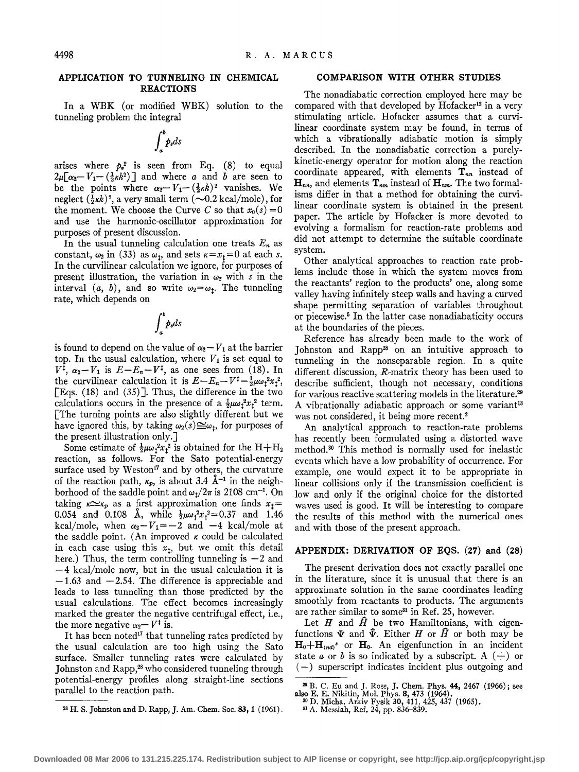# **APPLICATION TO TUNNELING IN CHEMICAL REACTIONS**

In a WBK (or modified WBK) solution to the tunneling problem the integral

$$
\int_a^b p_s ds
$$

arises where  $p_s^2$  is seen from Eq. (8) to equal  $2\mu[\alpha_2-V_1-(\frac{1}{2}\kappa k^2)]$  and where a and b are seen to be the points where  $\alpha_2 - V_1 - (\frac{1}{2} \kappa k)^2$  vanishes. We neglect  $(\frac{1}{2}\kappa k)^2$ , a very small term  $(\sim 0.2 \text{ kcal/mole})$ , for the moment. We choose the Curve C so that  $x_0(s) = 0$ and use the harmonic-oscillator approximation for purposes of present discussion.

In the usual tunneling calculation one treats  $E_n$  as constant,  $\omega_2$  in (33) as  $\omega_1$ , and sets  $\kappa = x_1 = 0$  at each *s*. In the curvilinear calculation we ignore, for purposes of present illustration, the variation in  $\omega_2$  with *s* in the interval  $(a, b)$ , and so write  $\omega_2 = \omega_1$ . The tunneling rate, which depends on

$$
\int_a^b p_s ds
$$

is found to depend on the value of  $\alpha_2 - V_1$  at the barrier top. In the usual calculation, where  $V_1$  is set equal to  $V^{\bar{i}}$ ,  $\alpha_2 - V_1$  is  $E - E_n - V^{\bar{i}}$ , as one sees from (18). In the curvilinear calculation it is  $E-E_n-V^{\ddagger}-\frac{1}{2}\mu\omega_1^2x_1^2$ , [Eqs. (18) and (35) ]. Thus, the difference in the two calculations occurs in the presence of a  $\frac{1}{2}\mu\omega_1^2x_1^2$  term. [The turning points are also slightly different but we have ignored this, by taking  $\omega_2(s) \cong \omega_t$ , for purposes of the present illustration only.]

Some estimate of  $\frac{1}{2}\mu\omega_1^2x_1^2$  is obtained for the H+H<sub>2</sub> reaction, as follows. For the Sato potential-energy surface used by Weston<sup>17</sup> and by others, the curvature of the reaction path,  $\kappa_p$ , is about 3.4 Å<sup>-1</sup> in the neighborhood of the saddle point and  $\omega_t/2\pi$  is 2108 cm<sup>-1</sup>. On taking  $\kappa \simeq \kappa_p$  as a first approximation one finds  $x_t =$ 0.054 and 0.108 Å, while  $\frac{1}{2}\mu\omega_1^2x_1^2=0.37$  and 1.46 kcal/mole, when  $\alpha_2 - V_1 = -2$  and  $-4$  kcal/mole at the saddle point. (An improved  $\kappa$  could be calculated in each case using this  $x_t$ , but we omit this detail here.) Thus, the term controlling tunneling is  $-2$  and  $-4$  kcal/mole now, but in the usual calculation it is  $-1.63$  and  $-2.54$ . The difference is appreciable and leads to less tunneling than those predicted by the usual calculations. The effect becomes increasingly marked the greater the negative centrifugal effect, i.e., the more negative  $\alpha_2 - V^{\ddagger}$  is.

It has been noted<sup>17</sup> that tunneling rates predicted by the usual calculation are too high using the Sato surface. Smaller tunneling rates were calculated by Johnston and Rapp,<sup>28</sup> who considered tunneling through potential-energy profiles along straight-line sections parallel to the reaction path.

<sup>28</sup> H. S. Johnston and D. Rapp, J. Am. Chem. Soc. **83, 1** (1961).

#### **COMPARISON WITH OTHER STUDIES**

The nonadiabatic correction employed here may be compared with that developed by Hofacker<sup>12</sup> in a very stimulating article. Hofacker assumes that a curvilinear coordinate system may be found, in terms of which a vibrationally adiabatic motion is simply described. In the nonadiabatic correction a purelykinetic-energy operator for motion along the reaction coordinate appeared, with elements  $T_{nn}$  instead of  $\mathbf{H}_{nn}$ , and elements  $\mathbf{T}_{nm}$  instead of  $\mathbf{H}_{nm}$ . The two formalisms differ in that a method for obtaining the curvilinear coordinate system is obtained in the present paper. The article by Hofacker is more devoted to evolving a formalism for reaction-rate problems and did not attempt to determine the suitable coordinate system.

Other analytical approaches to reaction rate problems include those in which the system moves from the reactants' region to the products' one, along some valley having infinitely steep walls and having a curved shape permitting separation of variables throughout or piecewise.5 In the latter case nonadiabaticity occurs at the boundaries of the pieces.

Reference has already been made to the work of Johnston and Rapp<sup>28</sup> on an intuitive approach to tunneling in the nonseparable region. In a quite different discussion, R-matrix theory has been used to describe sufficient, though not necessary, conditions for various reactive scattering models in the literature.29 A vibrationally adiabatic approach or some variant<sup>13</sup> was not considered, it being more recent.<sup>2</sup>

An analytical approach to reaction-rate problems has recently been formulated using a distorted wave method. 30 This method is normally used for inelastic events which have a low probability of occurrence. For example, one would expect it to be appropriate in linear collisions only if the transmission coefficient is low and only if the original choice for the distorted waves used is good. It will be interesting to compare the results of this method with the numerical ones and with those of the present approach.

### **APPENDIX: DERIVATION OF EQS. (27) and** (28)

The present derivation does not exactly parallel one in the literature, since it is unusual that there is an approximate solution in the same coordinates leading smoothly from reactants to products. The arguments are rather similar to some<sup>31</sup> in Ref. 25, however.

Let  $H$  and  $\hat{H}$  be two Hamiltonians, with eigenfunctions  $\Psi$  and  $\hat{\Psi}$ . Either H or  $\hat{H}$  or both may be  $H_0 + H_{(nd)}$ <sup>s</sup> or  $H_0$ . An eigenfunction in an incident state a or b is so indicated by a subscript. A  $(+)$  or (-) superscript indicates incident plus outgoing and

<sup>&</sup>lt;sup>29</sup> B. C. Eu and J. Ross, J. Chem. Phys. **44,** 2467 (1966); see also E. E. Nikitin, Mol. Phys. 8, 473 (1964).

<sup>&</sup>lt;sup>30</sup> D. Micha, Arkiv Fysik **30,** 411, 425, 437 (1965).<br><sup>31</sup> A. Messiah, Ref. 24, pp. 836–839.